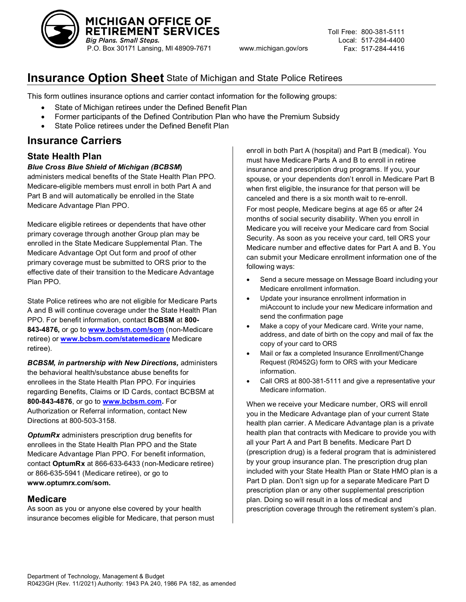

Toll Free: 800-381-5111 Local: 517-284-4400 Fax: 517-284-4416

# **Insurance Option Sheet** State of Michigan and State Police Retirees

This form outlines insurance options and carrier contact information for the following groups:

- State of Michigan retirees under the Defined Benefit Plan
- Former participants of the Defined Contribution Plan who have the Premium Subsidy
- State Police retirees under the Defined Benefit Plan

# **Insurance Carriers**

### **State Health Plan**

#### *Blue Cross Blue Shield of Michigan (BCBSM***)**

administers medical benefits of the State Health Plan PPO. Medicare-eligible members must enroll in both Part A and Part B and will automatically be enrolled in the State Medicare Advantage Plan PPO.

Medicare eligible retirees or dependents that have other primary coverage through another Group plan may be enrolled in the State Medicare Supplemental Plan. The Medicare Advantage Opt Out form and proof of other primary coverage must be submitted to ORS prior to the effective date of their transition to the Medicare Advantage Plan PPO.

State Police retirees who are not eligible for Medicare Parts A and B will continue coverage under the State Health Plan PPO. For benefit information, contact **BCBSM** at **800- 843-4876,** or go to **[www.bcbsm.com/som](http://www.bcbsm.com/som)** (non-Medicare retiree) or **[www.bcbsm.com/statemedicare](http://www.bcbsm.com/statemedicare)** Medicare retiree).

*BCBSM, in partnership with New Directions,* administers the behavioral health/substance abuse benefits for enrollees in the State Health Plan PPO. For inquiries regarding Benefits, Claims or ID Cards, contact BCBSM at **800-843-4876**, or go to **[www.bcbsm.com.](http://www.bcbsm.com/)** For Authorization or Referral information, contact New Directions at 800-503-3158.

**OptumRx** administers prescription drug benefits for enrollees in the State Health Plan PPO and the State Medicare Advantage Plan PPO. For benefit information, contact **OptumRx** at 866-633-6433 (non-Medicare retiree) or 866-635-5941 (Medicare retiree), or go to **www.optumrx.com/som.**

#### **Medicare**

As soon as you or anyone else covered by your health insurance becomes eligible for Medicare, that person must enroll in both Part A (hospital) and Part B (medical). You must have Medicare Parts A and B to enroll in retiree insurance and prescription drug programs. If you, your spouse, or your dependents don't enroll in Medicare Part B when first eligible, the insurance for that person will be canceled and there is a six month wait to re-enroll.

For most people, Medicare begins at age 65 or after 24 months of social security disability. When you enroll in Medicare you will receive your Medicare card from Social Security. As soon as you receive your card, tell ORS your Medicare number and effective dates for Part A and B. You can submit your Medicare enrollment information one of the following ways:

- Send a secure message on Message Board including your Medicare enrollment information.
- Update your insurance enrollment information in miAccount to include your new Medicare information and send the confirmation page
- Make a copy of your Medicare card. Write your name, address, and date of birth on the copy and mail of fax the copy of your card to ORS
- Mail or fax a completed Insurance Enrollment/Change Request (R0452G) form to ORS with your Medicare information.
- Call ORS at 800-381-5111 and give a representative your Medicare information.

When we receive your Medicare number, ORS will enroll you in the Medicare Advantage plan of your current State health plan carrier. A Medicare Advantage plan is a private health plan that contracts with Medicare to provide you with all your Part A and Part B benefits. Medicare Part D (prescription drug) is a federal program that is administered by your group insurance plan. The prescription drug plan included with your State Health Plan or State HMO plan is a Part D plan. Don't sign up for a separate Medicare Part D prescription plan or any other supplemental prescription plan. Doing so will result in a loss of medical and prescription coverage through the retirement system's plan.